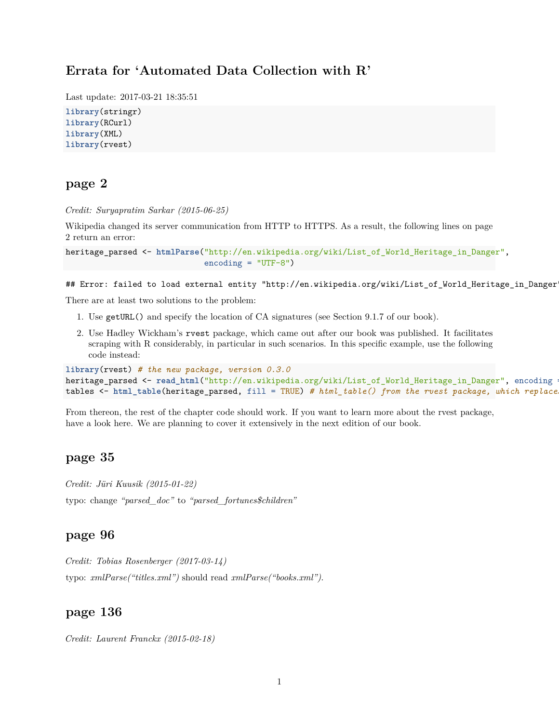# **Errata for 'Automated Data Collection with R'**

Last update: 2017-03-21 18:35:51

```
library(stringr)
library(RCurl)
library(XML)
library(rvest)
```
# **page 2**

*Credit: Suryapratim Sarkar (2015-06-25)*

Wikipedia changed its server communication from HTTP to HTTPS. As a result, the following lines on page 2 return an error:

```
heritage_parsed <- htmlParse("http://en.wikipedia.org/wiki/List_of_World_Heritage_in_Danger",
                                 \text{encoding} = \text{''UTF-8''}
```
## Error: failed to load external entity "http://en.wikipedia.org/wiki/List\_of\_World\_Heritage\_in\_Danger

There are at least two solutions to the problem:

- 1. Use getURL() and specify the location of CA signatures (see Section 9.1.7 of our book).
- 2. Use Hadley Wickham's rvest package, which came out after our book was published. It facilitates scraping with R considerably, in particular in such scenarios. In this specific example, use the following code instead:

```
library(rvest) # the new package, version 0.3.0
heritage_parsed <- read_html("http://en.wikipedia.org/wiki/List_of_World_Heritage_in_Danger", encoding
tables <- html_table(heritage_parsed, fill = TRUE) # html_table() from the rvest package, which replace
```
From thereon, the rest of the chapter code should work. If you want to learn more about the rvest package, have a look [here.](http://blog.rstudio.org/2014/11/24/rvest-easy-web-scraping-with-r/) We are planning to cover it extensively in the next edition of our book.

## **page 35**

*Credit: Jüri Kuusik (2015-01-22)* typo: change *"parsed\_doc"* to *"parsed\_fortunes\$children"*

#### **page 96**

*Credit: Tobias Rosenberger (2017-03-14)* typo: *xmlParse("titles.xml")* should read *xmlParse("books.xml")*.

### **page 136**

*Credit: Laurent Franckx (2015-02-18)*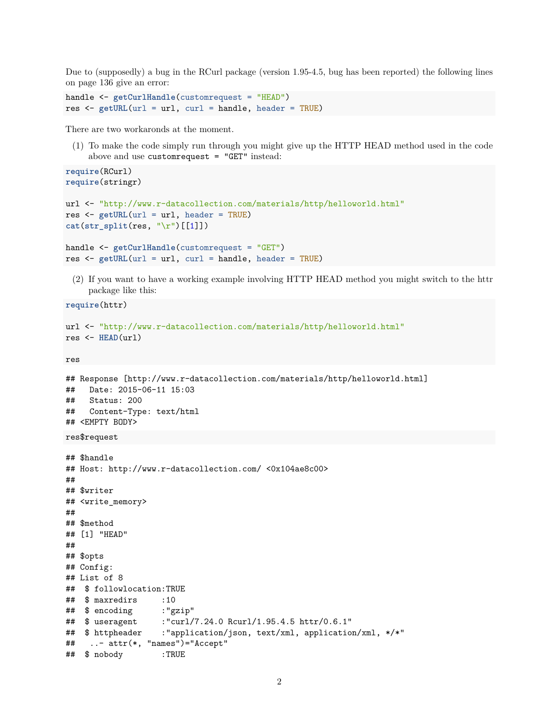Due to (supposedly) a bug in the RCurl package (version 1.95-4.5, bug has been reported) the following lines on page 136 give an error:

```
handle <- getCurlHandle(customrequest = "HEAD")
res <- getURL(url = url, curl = handle, header = TRUE)
```
res <- **getURL**(url = url, curl = handle, header = TRUE)

There are two workaronds at the moment.

(1) To make the code simply run through you might give up the HTTP HEAD method used in the code above and use customrequest = "GET" instead:

```
require(RCurl)
require(stringr)
url <- "http://www.r-datacollection.com/materials/http/helloworld.html"
res <- getURL(url = url, header = TRUE)
cat(str_split(res, "\r")[[1]])
handle <- getCurlHandle(customrequest = "GET")
```
(2) If you want to have a working example involving HTTP HEAD method you might switch to the httr package like this:

```
require(httr)
```

```
url <- "http://www.r-datacollection.com/materials/http/helloworld.html"
res <- HEAD(url)
```
res

```
## Response [http://www.r-datacollection.com/materials/http/helloworld.html]
## Date: 2015-06-11 15:03
## Status: 200
## Content-Type: text/html
## <EMPTY BODY>
res$request
## $handle
## Host: http://www.r-datacollection.com/ <0x104ae8c00>
##
## $writer
## <write_memory>
##
## $method
## [1] "HEAD"
##
## $opts
## Config:
## List of 8
## $ followlocation:TRUE
## $ maxredirs :10
## $ encoding :"gzip"
## $ useragent :"curl/7.24.0 Rcurl/1.95.4.5 httr/0.6.1"
## $ httpheader :"application/json, text/xml, application/xml, */*"
## ..- attr(*, "names")="Accept"
## $ nobody :TRUE
```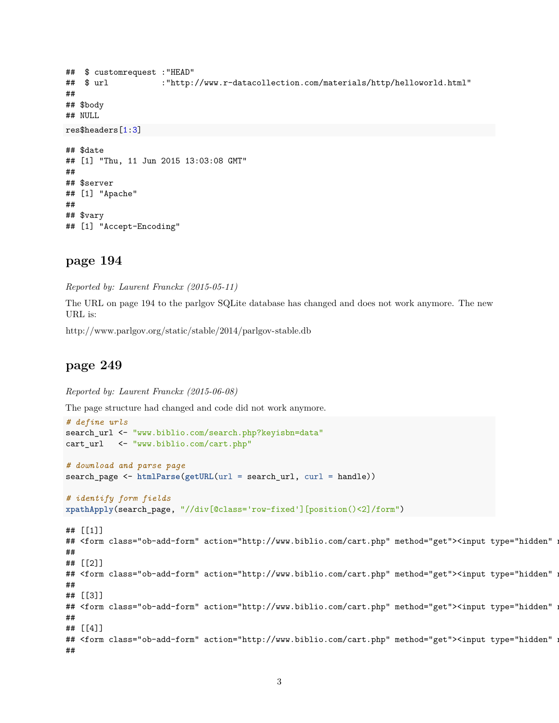```
## $ customrequest :"HEAD"
## $ url :"http://www.r-datacollection.com/materials/http/helloworld.html"
##
## $body
## NULL
res$headers[1:3]
## $date
## [1] "Thu, 11 Jun 2015 13:03:08 GMT"
##
## $server
## [1] "Apache"
##
## $vary
## [1] "Accept-Encoding"
```
# **page 194**

*Reported by: Laurent Franckx (2015-05-11)*

The URL on page 194 to the parlgov SQLite database has changed and does not work anymore. The new URL is:

<http://www.parlgov.org/static/stable/2014/parlgov-stable.db>

# **page 249**

*Reported by: Laurent Franckx (2015-06-08)*

The page structure had changed and code did not work anymore.

```
# define urls
search_url <- "www.biblio.com/search.php?keyisbn=data"
cart_url <- "www.biblio.com/cart.php"
# download and parse page
search_page <- htmlParse(getURL(url = search_url, curl = handle))
# identify form fields
xpathApply(search_page, "//div[@class='row-fixed'][position()<2]/form")
## [[1]]
## <form class="ob-add-form" action="http://www.biblio.com/cart.php" method="get"><input type="hidden" :
##
## [[2]]
## <form class="ob-add-form" action="http://www.biblio.com/cart.php" method="get"><input type="hidden" :
##
## [[3]]
## <form class="ob-add-form" action="http://www.biblio.com/cart.php" method="get"><input type="hidden" :
##
## [[4]]
## <form class="ob-add-form" action="http://www.biblio.com/cart.php" method="get"><input type="hidden" :
##
```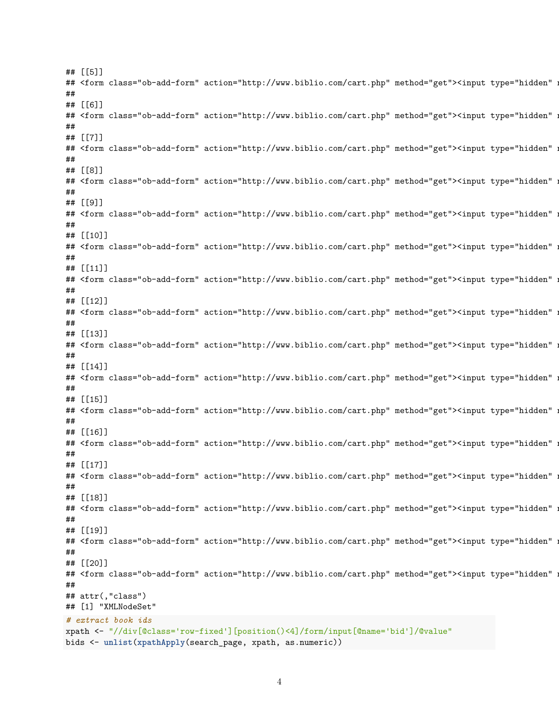## [[5]] ## <form class="ob-add-form" action="http://www.biblio.com/cart.php" method="get"><input type="hidden" : ## ## [[6]] ## <form class="ob-add-form" action="http://www.biblio.com/cart.php" method="get"><input type="hidden" : ## ## [[7]] ## <form class="ob-add-form" action="http://www.biblio.com/cart.php" method="get"><input type="hidden" : ## ## [[8]] ## <form class="ob-add-form" action="http://www.biblio.com/cart.php" method="get"><input type="hidden" : ## ## [[9]] ## <form class="ob-add-form" action="http://www.biblio.com/cart.php" method="get"><input type="hidden" : ## ## [[10]] ## <form class="ob-add-form" action="http://www.biblio.com/cart.php" method="get"><input type="hidden" : ## ## [[11]] ## <form class="ob-add-form" action="http://www.biblio.com/cart.php" method="get"><input type="hidden" : ## ## [[12]] ## <form class="ob-add-form" action="http://www.biblio.com/cart.php" method="get"><input type="hidden" : ## ## [[13]] ## <form class="ob-add-form" action="http://www.biblio.com/cart.php" method="get"><input type="hidden" : ## ## [[14]] ## <form class="ob-add-form" action="http://www.biblio.com/cart.php" method="get"><input type="hidden" : ## ## [[15]] ## <form class="ob-add-form" action="http://www.biblio.com/cart.php" method="get"><input type="hidden" : ## ## [[16]] ## <form class="ob-add-form" action="http://www.biblio.com/cart.php" method="get"><input type="hidden" : ## ## [[17]] ## <form class="ob-add-form" action="http://www.biblio.com/cart.php" method="get"><input type="hidden" : ## ## [[18]] ## <form class="ob-add-form" action="http://www.biblio.com/cart.php" method="get"><input type="hidden" : ## ## [[19]] ## <form class="ob-add-form" action="http://www.biblio.com/cart.php" method="get"><input type="hidden" : ## ## [[20]] ## <form class="ob-add-form" action="http://www.biblio.com/cart.php" method="get"><input type="hidden" : ## ## attr(,"class") ## [1] "XMLNodeSet" *# extract book ids* xpath <- "//div[@class='row-fixed'][position()<4]/form/input[@name='bid']/@value" bids <- **unlist**(**xpathApply**(search\_page, xpath, as.numeric))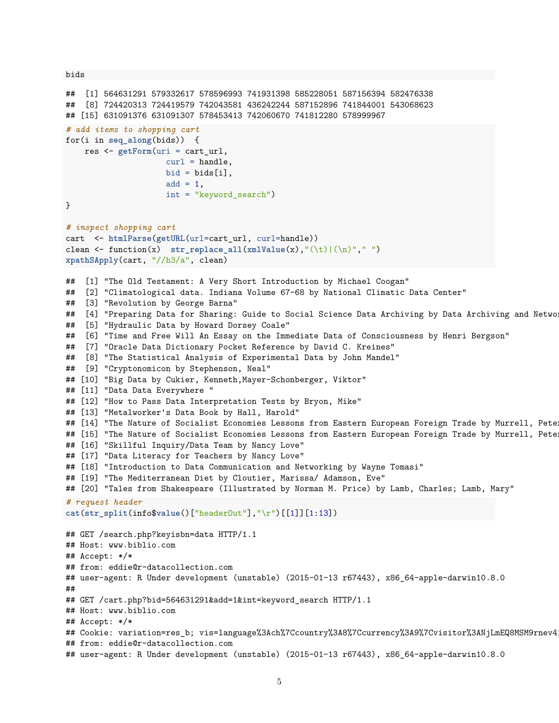bids

```
## [1] 564631291 579332617 578596993 741931398 585228051 587156394 582476338
## [8] 724420313 724419579 742043581 436242244 587152896 741844001 543068623
## [15] 631091376 631091307 578453413 742060670 741812280 578999967
# add items to shopping cart
for(i in seq_along(bids)) {
    res <- getForm(uri = cart_url,
                     curl = handle,bid = bids[i],add = 1,int = "keyword_search")
}
# inspect shopping cart
cart <- htmlParse(getURL(url=cart_url, curl=handle))
clean \leq function(x) str\_replace\_all(xm1Value(x), "\left(\n\frac{1}{n}\right)|\left(\n\frac{n}{n}\right)", "\right)xpathSApply(cart, "//h3/a", clean)
## [1] "The Old Testament: A Very Short Introduction by Michael Coogan"
## [2] "Climatological data. Indiana Volume 67-68 by National Climatic Data Center"
## [3] "Revolution by George Barna"
## [4] "Preparing Data for Sharing: Guide to Social Science Data Archiving by Data Archiving and Netwo
## [5] "Hydraulic Data by Howard Dorsey Coale"
## [6] "Time and Free Will An Essay on the Immediate Data of Consciousness by Henri Bergson"
## [7] "Oracle Data Dictionary Pocket Reference by David C. Kreines"
## [8] "The Statistical Analysis of Experimental Data by John Mandel"
## [9] "Cryptonomicon by Stephenson, Neal"
## [10] "Big Data by Cukier, Kenneth, Mayer-Schonberger, Viktor"
## [11] "Data Data Everywhere "
## [12] "How to Pass Data Interpretation Tests by Bryon, Mike"
## [13] "Metalworker's Data Book by Hall, Harold"
## [14] "The Nature of Socialist Economies Lessons from Eastern European Foreign Trade by Murrell, Pete
## [15] "The Nature of Socialist Economies Lessons from Eastern European Foreign Trade by Murrell, Pete
## [16] "Skillful Inquiry/Data Team by Nancy Love"
## [17] "Data Literacy for Teachers by Nancy Love"
## [18] "Introduction to Data Communication and Networking by Wayne Tomasi"
## [19] "The Mediterranean Diet by Cloutier, Marissa/ Adamson, Eve"
## [20] "Tales from Shakespeare (Illustrated by Norman M. Price) by Lamb, Charles; Lamb, Mary"
# request header
cat(str_split(info$value()["headerOut"],"\r")[[1]][1:13])
## GET /search.php?keyisbn=data HTTP/1.1
## Host: www.biblio.com
## Accept: */*
## from: eddie@r-datacollection.com
## user-agent: R Under development (unstable) (2015-01-13 r67443), x86_64-apple-darwin10.8.0
##
## GET /cart.php?bid=564631291&add=1&int=keyword_search HTTP/1.1
## Host: www.biblio.com
## Accept: */*
## Cookie: variation=res_b; vis=language%3Ach%7Ccountry%3A8%7Ccurrency%3A9%7Cvisitor%3ANjLmEQ8MSM9rnev4
## from: eddie@r-datacollection.com
## user-agent: R Under development (unstable) (2015-01-13 r67443), x86_64-apple-darwin10.8.0
```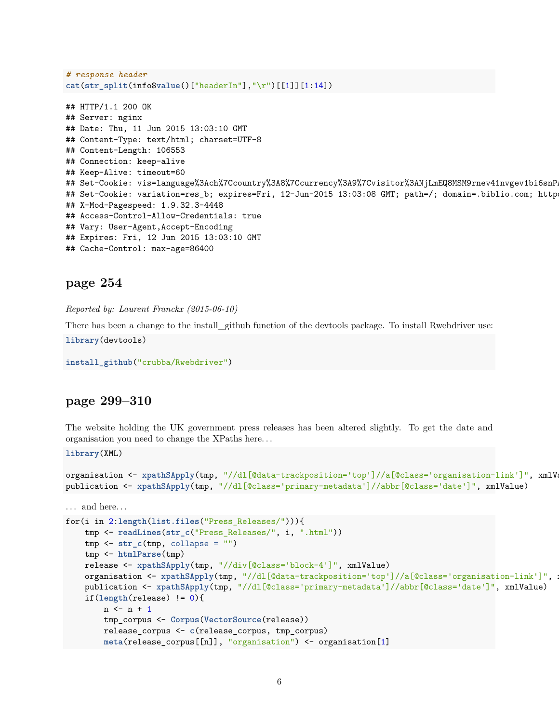```
# response header
cat(str_split(info$value()["headerIn"],"\r")[[1]][1:14])
## HTTP/1.1 200 OK
## Server: nginx
## Date: Thu, 11 Jun 2015 13:03:10 GMT
## Content-Type: text/html; charset=UTF-8
## Content-Length: 106553
## Connection: keep-alive
## Keep-Alive: timeout=60
## Set-Cookie: vis=language%3Ach%7Ccountry%3A8%7Ccurrency%3A9%7Cvisitor%3ANjLmEQ8MSM9rnev41nvgev1bi6snP
## Set-Cookie: variation=res_b; expires=Fri, 12-Jun-2015 13:03:08 GMT; path=/; domain=.biblio.com; http
## X-Mod-Pagespeed: 1.9.32.3-4448
```

```
## Access-Control-Allow-Credentials: true
```

```
## Vary: User-Agent,Accept-Encoding
```

```
## Expires: Fri, 12 Jun 2015 13:03:10 GMT
```

```
## Cache-Control: max-age=86400
```
## **page 254**

```
Reported by: Laurent Franckx (2015-06-10)
```
There has been a change to the install\_github function of the devtools package. To install Rwebdriver use:

```
library(devtools)
```

```
install_github("crubba/Rwebdriver")
```
## **page 299–310**

The website holding the UK government press releases has been altered slightly. To get the date and organisation you need to change the XPaths here. . .

```
library(XML)
```

```
organisation <- xpathSApply(tmp, "//dl[@data-trackposition='top']//a[@class='organisation-link']", xmlV
publication <- xpathSApply(tmp, "//dl[@class='primary-metadata']//abbr[@class='date']", xmlValue)
```

```
. . . and here. . .
```

```
for(i in 2:length(list.files("Press_Releases/"))){
   tmp <- readLines(str_c("Press_Releases/", i, ".html"))
   tmp <- str_c(tmp, collapse = "")
   tmp <- htmlParse(tmp)
   release <- xpathSApply(tmp, "//div[@class='block-4']", xmlValue)
   organisation <- xpathSApply(tmp, "//dl[@data-trackposition='top']//a[@class='organisation-link']", x
   publication <- xpathSApply(tmp, "//dl[@class='primary-metadata']//abbr[@class='date']", xmlValue)
    if(length(release) != 0){
       n \leq -n + 1tmp_corpus <- Corpus(VectorSource(release))
        release_corpus <- c(release_corpus, tmp_corpus)
        meta(release_corpus[[n]], "organisation") <- organisation[1]
```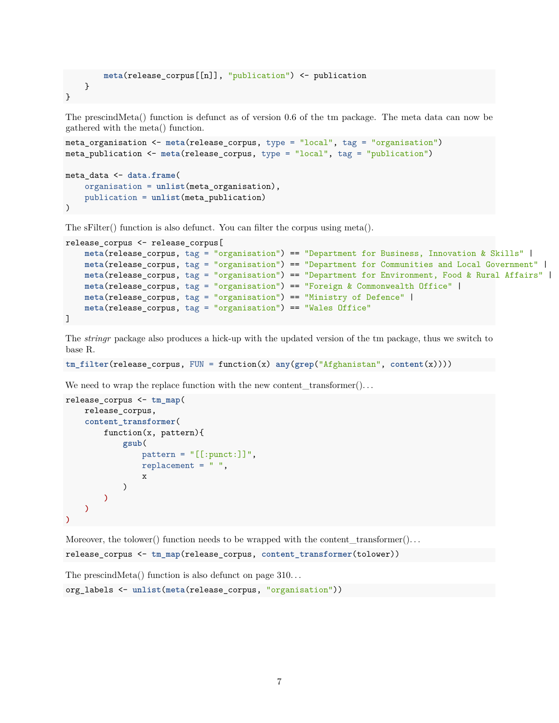```
meta(release_corpus[[n]], "publication") <- publication
   }
}
```
The prescindMeta() function is defunct as of version 0.6 of the tm package. The meta data can now be gathered with the meta() function.

```
meta_organisation <- meta(release_corpus, type = "local", tag = "organisation")
meta_publication <- meta(release_corpus, type = "local", tag = "publication")
meta_data <- data.frame(
    organisation = unlist(meta_organisation),
    publication = unlist(meta_publication)
\lambda
```
The sFilter() function is also defunct. You can filter the corpus using meta().

```
release_corpus <- release_corpus[
   meta(release_corpus, tag = "organisation") == "Department for Business, Innovation & Skills" |
   meta(release_corpus, tag = "organisation") == "Department for Communities and Local Government" |
   meta(release_corpus, tag = "organisation") == "Department for Environment, Food & Rural Affairs" |
   meta(release_corpus, tag = "organisation") == "Foreign & Commonwealth Office" |
   meta(release_corpus, tag = "organisation") == "Ministry of Defence" |
   meta(release_corpus, tag = "organisation") == "Wales Office"
]
```
The *stringr* package also produces a hick-up with the updated version of the tm package, thus we switch to base R.

```
tm_filter(release_corpus, FUN = function(x) any(grep("Afghanistan", content(x))))
```
We need to wrap the replace function with the new content\_transformer $($ ...

```
release_corpus <- tm_map(
    release_corpus,
    content_transformer(
        function(x, pattern){
            gsub(
                pattern = "[[:punct:]]",replacement = " "x
            )
        )
    )
)
```
Moreover, the tolower() function needs to be wrapped with the content  $\text{transformer}(\dots)$ 

release\_corpus <- **tm\_map**(release\_corpus, **content\_transformer**(tolower))

The prescind Meta() function is also defunct on page  $310...$ 

```
org_labels <- unlist(meta(release_corpus, "organisation"))
```